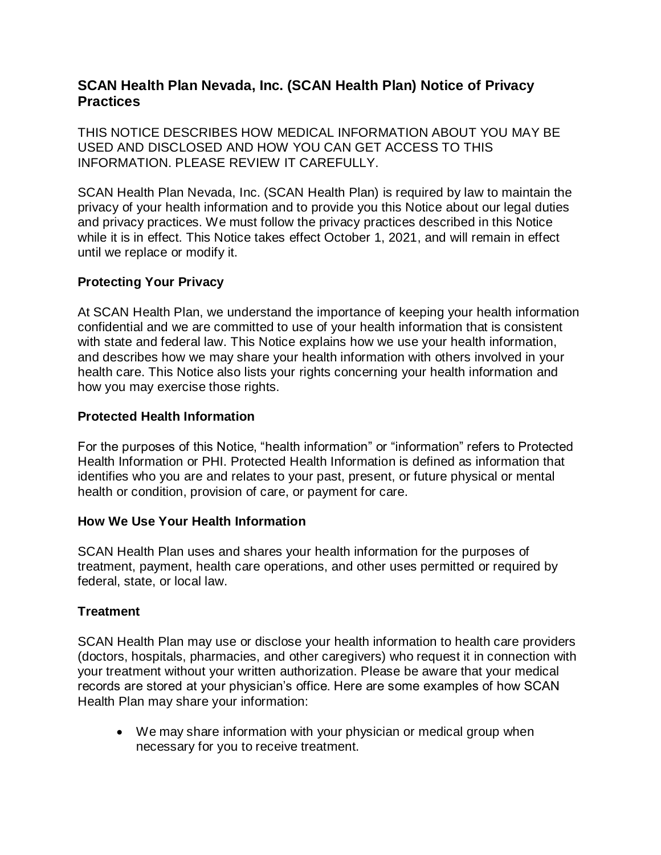# **SCAN Health Plan Nevada, Inc. (SCAN Health Plan) Notice of Privacy Practices**

THIS NOTICE DESCRIBES HOW MEDICAL INFORMATION ABOUT YOU MAY BE USED AND DISCLOSED AND HOW YOU CAN GET ACCESS TO THIS INFORMATION. PLEASE REVIEW IT CAREFULLY.

SCAN Health Plan Nevada, Inc. (SCAN Health Plan) is required by law to maintain the privacy of your health information and to provide you this Notice about our legal duties and privacy practices. We must follow the privacy practices described in this Notice while it is in effect. This Notice takes effect October 1, 2021, and will remain in effect until we replace or modify it.

### **Protecting Your Privacy**

At SCAN Health Plan, we understand the importance of keeping your health information confidential and we are committed to use of your health information that is consistent with state and federal law. This Notice explains how we use your health information, and describes how we may share your health information with others involved in your health care. This Notice also lists your rights concerning your health information and how you may exercise those rights.

### **Protected Health Information**

For the purposes of this Notice, "health information" or "information" refers to Protected Health Information or PHI. Protected Health Information is defined as information that identifies who you are and relates to your past, present, or future physical or mental health or condition, provision of care, or payment for care.

### **How We Use Your Health Information**

SCAN Health Plan uses and shares your health information for the purposes of treatment, payment, health care operations, and other uses permitted or required by federal, state, or local law.

## **Treatment**

SCAN Health Plan may use or disclose your health information to health care providers (doctors, hospitals, pharmacies, and other caregivers) who request it in connection with your treatment without your written authorization. Please be aware that your medical records are stored at your physician's office. Here are some examples of how SCAN Health Plan may share your information:

 We may share information with your physician or medical group when necessary for you to receive treatment.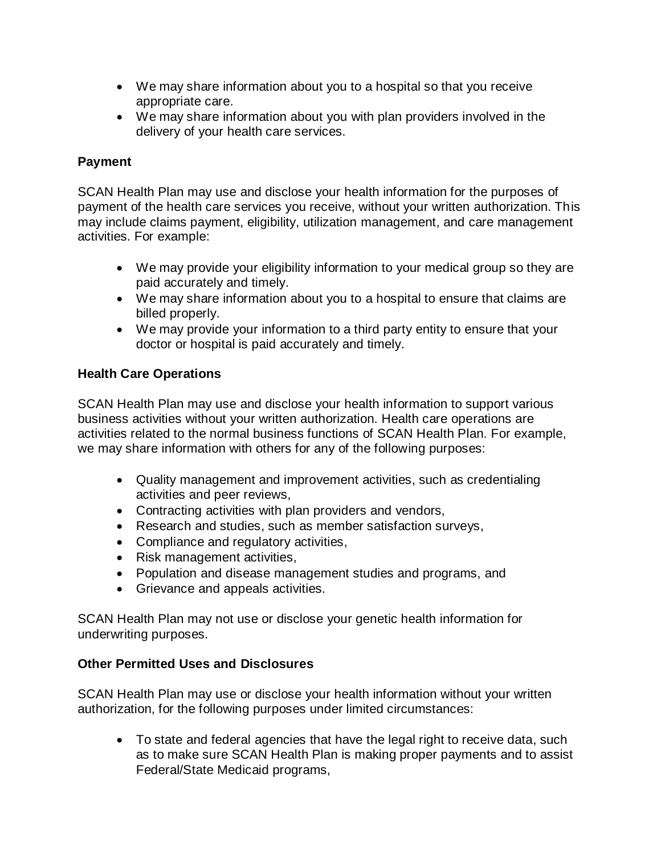- We may share information about you to a hospital so that you receive appropriate care.
- We may share information about you with plan providers involved in the delivery of your health care services.

# **Payment**

SCAN Health Plan may use and disclose your health information for the purposes of payment of the health care services you receive, without your written authorization. This may include claims payment, eligibility, utilization management, and care management activities. For example:

- We may provide your eligibility information to your medical group so they are paid accurately and timely.
- We may share information about you to a hospital to ensure that claims are billed properly.
- We may provide your information to a third party entity to ensure that your doctor or hospital is paid accurately and timely.

## **Health Care Operations**

SCAN Health Plan may use and disclose your health information to support various business activities without your written authorization. Health care operations are activities related to the normal business functions of SCAN Health Plan. For example, we may share information with others for any of the following purposes:

- Quality management and improvement activities, such as credentialing activities and peer reviews,
- Contracting activities with plan providers and vendors,
- Research and studies, such as member satisfaction surveys,
- Compliance and regulatory activities,
- Risk management activities,
- Population and disease management studies and programs, and
- Grievance and appeals activities.

SCAN Health Plan may not use or disclose your genetic health information for underwriting purposes.

## **Other Permitted Uses and Disclosures**

SCAN Health Plan may use or disclose your health information without your written authorization, for the following purposes under limited circumstances:

 To state and federal agencies that have the legal right to receive data, such as to make sure SCAN Health Plan is making proper payments and to assist Federal/State Medicaid programs,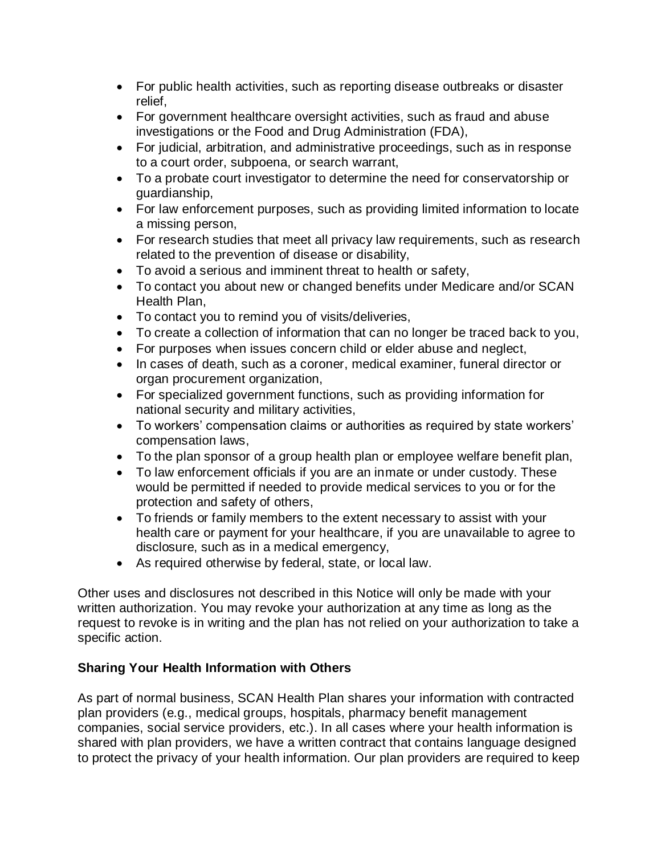- For public health activities, such as reporting disease outbreaks or disaster relief,
- For government healthcare oversight activities, such as fraud and abuse investigations or the Food and Drug Administration (FDA),
- For judicial, arbitration, and administrative proceedings, such as in response to a court order, subpoena, or search warrant,
- To a probate court investigator to determine the need for conservatorship or guardianship,
- For law enforcement purposes, such as providing limited information to locate a missing person,
- For research studies that meet all privacy law requirements, such as research related to the prevention of disease or disability,
- To avoid a serious and imminent threat to health or safety,
- To contact you about new or changed benefits under Medicare and/or SCAN Health Plan,
- To contact you to remind you of visits/deliveries,
- To create a collection of information that can no longer be traced back to you,
- For purposes when issues concern child or elder abuse and neglect,
- In cases of death, such as a coroner, medical examiner, funeral director or organ procurement organization,
- For specialized government functions, such as providing information for national security and military activities,
- To workers' compensation claims or authorities as required by state workers' compensation laws,
- To the plan sponsor of a group health plan or employee welfare benefit plan,
- To law enforcement officials if you are an inmate or under custody. These would be permitted if needed to provide medical services to you or for the protection and safety of others,
- To friends or family members to the extent necessary to assist with your health care or payment for your healthcare, if you are unavailable to agree to disclosure, such as in a medical emergency,
- As required otherwise by federal, state, or local law.

Other uses and disclosures not described in this Notice will only be made with your written authorization. You may revoke your authorization at any time as long as the request to revoke is in writing and the plan has not relied on your authorization to take a specific action.

## **Sharing Your Health Information with Others**

As part of normal business, SCAN Health Plan shares your information with contracted plan providers (e.g., medical groups, hospitals, pharmacy benefit management companies, social service providers, etc.). In all cases where your health information is shared with plan providers, we have a written contract that contains language designed to protect the privacy of your health information. Our plan providers are required to keep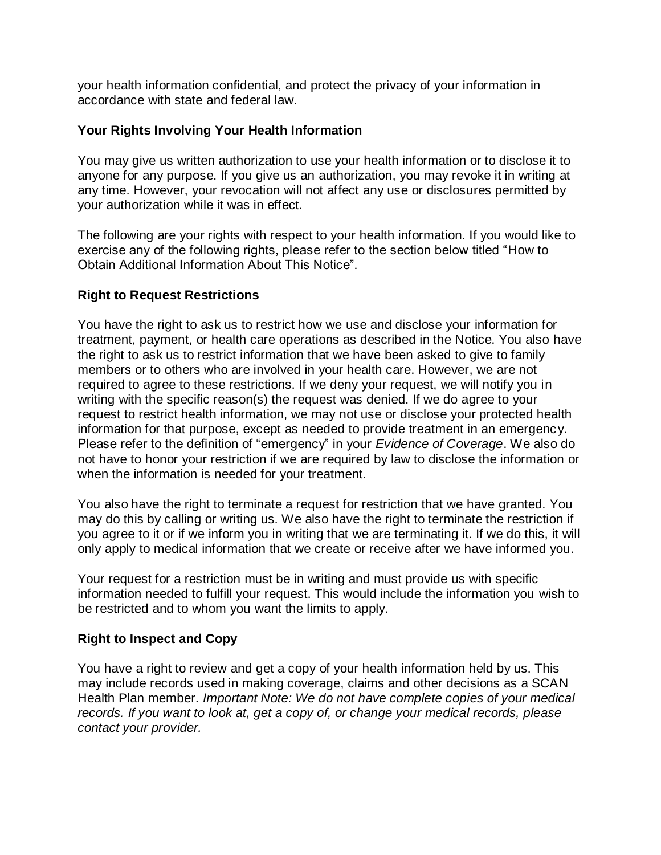your health information confidential, and protect the privacy of your information in accordance with state and federal law.

### **Your Rights Involving Your Health Information**

You may give us written authorization to use your health information or to disclose it to anyone for any purpose. If you give us an authorization, you may revoke it in writing at any time. However, your revocation will not affect any use or disclosures permitted by your authorization while it was in effect.

The following are your rights with respect to your health information. If you would like to exercise any of the following rights, please refer to the section below titled "How to Obtain Additional Information About This Notice".

### **Right to Request Restrictions**

You have the right to ask us to restrict how we use and disclose your information for treatment, payment, or health care operations as described in the Notice. You also have the right to ask us to restrict information that we have been asked to give to family members or to others who are involved in your health care. However, we are not required to agree to these restrictions. If we deny your request, we will notify you in writing with the specific reason(s) the request was denied. If we do agree to your request to restrict health information, we may not use or disclose your protected health information for that purpose, except as needed to provide treatment in an emergency. Please refer to the definition of "emergency" in your *Evidence of Coverage*. We also do not have to honor your restriction if we are required by law to disclose the information or when the information is needed for your treatment.

You also have the right to terminate a request for restriction that we have granted. You may do this by calling or writing us. We also have the right to terminate the restriction if you agree to it or if we inform you in writing that we are terminating it. If we do this, it will only apply to medical information that we create or receive after we have informed you.

Your request for a restriction must be in writing and must provide us with specific information needed to fulfill your request. This would include the information you wish to be restricted and to whom you want the limits to apply.

### **Right to Inspect and Copy**

You have a right to review and get a copy of your health information held by us. This may include records used in making coverage, claims and other decisions as a SCAN Health Plan member. *Important Note: We do not have complete copies of your medical records. If you want to look at, get a copy of, or change your medical records, please contact your provider.*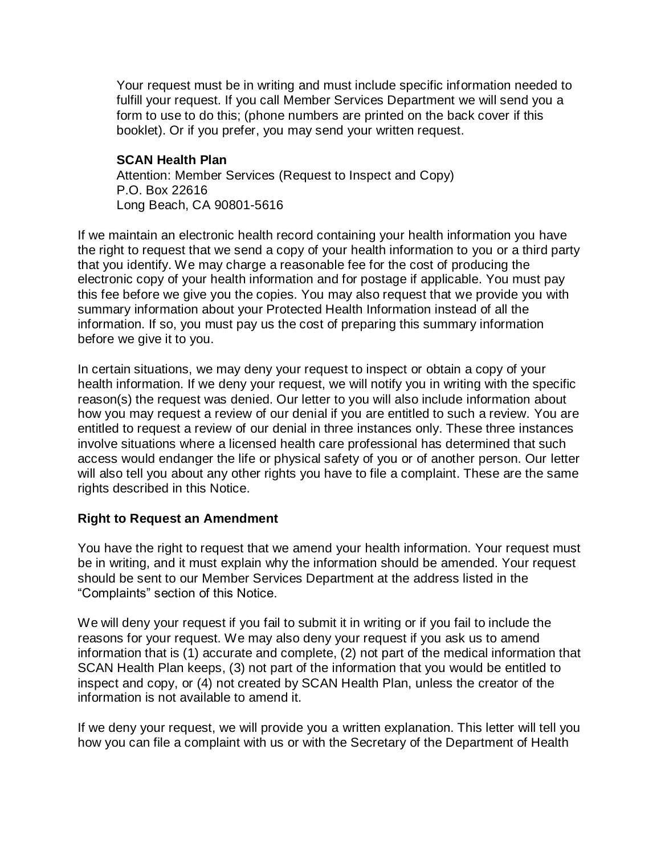Your request must be in writing and must include specific information needed to fulfill your request. If you call Member Services Department we will send you a form to use to do this; (phone numbers are printed on the back cover if this booklet). Or if you prefer, you may send your written request.

#### **SCAN Health Plan**

Attention: Member Services (Request to Inspect and Copy) P.O. Box 22616 Long Beach, CA 90801-5616

If we maintain an electronic health record containing your health information you have the right to request that we send a copy of your health information to you or a third party that you identify. We may charge a reasonable fee for the cost of producing the electronic copy of your health information and for postage if applicable. You must pay this fee before we give you the copies. You may also request that we provide you with summary information about your Protected Health Information instead of all the information. If so, you must pay us the cost of preparing this summary information before we give it to you.

In certain situations, we may deny your request to inspect or obtain a copy of your health information. If we deny your request, we will notify you in writing with the specific reason(s) the request was denied. Our letter to you will also include information about how you may request a review of our denial if you are entitled to such a review. You are entitled to request a review of our denial in three instances only. These three instances involve situations where a licensed health care professional has determined that such access would endanger the life or physical safety of you or of another person. Our letter will also tell you about any other rights you have to file a complaint. These are the same rights described in this Notice.

### **Right to Request an Amendment**

You have the right to request that we amend your health information. Your request must be in writing, and it must explain why the information should be amended. Your request should be sent to our Member Services Department at the address listed in the "Complaints" section of this Notice.

We will deny your request if you fail to submit it in writing or if you fail to include the reasons for your request. We may also deny your request if you ask us to amend information that is (1) accurate and complete, (2) not part of the medical information that SCAN Health Plan keeps, (3) not part of the information that you would be entitled to inspect and copy, or (4) not created by SCAN Health Plan, unless the creator of the information is not available to amend it.

If we deny your request, we will provide you a written explanation. This letter will tell you how you can file a complaint with us or with the Secretary of the Department of Health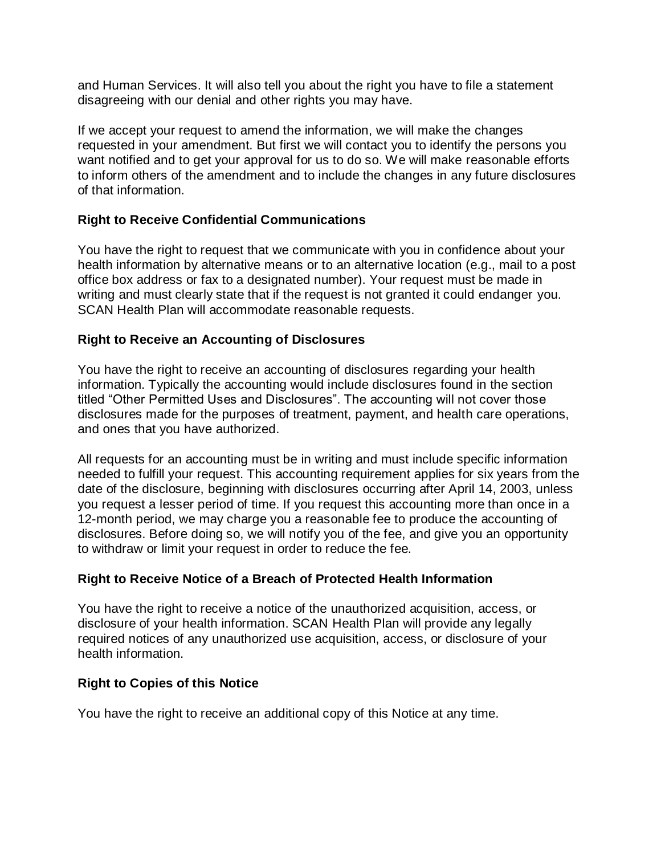and Human Services. It will also tell you about the right you have to file a statement disagreeing with our denial and other rights you may have.

If we accept your request to amend the information, we will make the changes requested in your amendment. But first we will contact you to identify the persons you want notified and to get your approval for us to do so. We will make reasonable efforts to inform others of the amendment and to include the changes in any future disclosures of that information.

### **Right to Receive Confidential Communications**

You have the right to request that we communicate with you in confidence about your health information by alternative means or to an alternative location (e.g., mail to a post office box address or fax to a designated number). Your request must be made in writing and must clearly state that if the request is not granted it could endanger you. SCAN Health Plan will accommodate reasonable requests.

### **Right to Receive an Accounting of Disclosures**

You have the right to receive an accounting of disclosures regarding your health information. Typically the accounting would include disclosures found in the section titled "Other Permitted Uses and Disclosures". The accounting will not cover those disclosures made for the purposes of treatment, payment, and health care operations, and ones that you have authorized.

All requests for an accounting must be in writing and must include specific information needed to fulfill your request. This accounting requirement applies for six years from the date of the disclosure, beginning with disclosures occurring after April 14, 2003, unless you request a lesser period of time. If you request this accounting more than once in a 12-month period, we may charge you a reasonable fee to produce the accounting of disclosures. Before doing so, we will notify you of the fee, and give you an opportunity to withdraw or limit your request in order to reduce the fee.

## **Right to Receive Notice of a Breach of Protected Health Information**

You have the right to receive a notice of the unauthorized acquisition, access, or disclosure of your health information. SCAN Health Plan will provide any legally required notices of any unauthorized use acquisition, access, or disclosure of your health information.

### **Right to Copies of this Notice**

You have the right to receive an additional copy of this Notice at any time.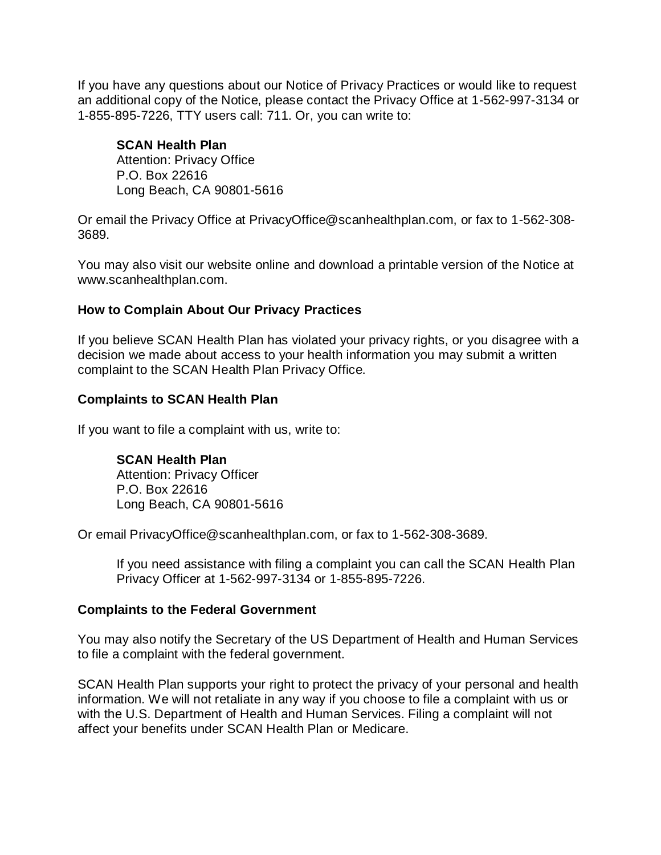If you have any questions about our Notice of Privacy Practices or would like to request an additional copy of the Notice, please contact the Privacy Office at 1-562-997-3134 or 1-855-895-7226, TTY users call: 711. Or, you can write to:

### **SCAN Health Plan**

Attention: Privacy Office P.O. Box 22616 Long Beach, CA 90801-5616

Or email the Privacy Office at PrivacyOffice@scanhealthplan.com, or fax to 1-562-308- 3689.

You may also visit our website online and download a printable version of the Notice at [www.scanhealthplan.com.](http://www.scanhealthplan.com/)

#### **How to Complain About Our Privacy Practices**

If you believe SCAN Health Plan has violated your privacy rights, or you disagree with a decision we made about access to your health information you may submit a written complaint to the SCAN Health Plan Privacy Office.

#### **Complaints to SCAN Health Plan**

If you want to file a complaint with us, write to:

**SCAN Health Plan** Attention: Privacy Officer P.O. Box 22616 Long Beach, CA 90801-5616

Or email PrivacyOffice@scanhealthplan.com, or fax to 1-562-308-3689.

If you need assistance with filing a complaint you can call the SCAN Health Plan Privacy Officer at 1-562-997-3134 or 1-855-895-7226.

#### **Complaints to the Federal Government**

You may also notify the Secretary of the US Department of Health and Human Services to file a complaint with the federal government.

SCAN Health Plan supports your right to protect the privacy of your personal and health information. We will not retaliate in any way if you choose to file a complaint with us or with the U.S. Department of Health and Human Services. Filing a complaint will not affect your benefits under SCAN Health Plan or Medicare.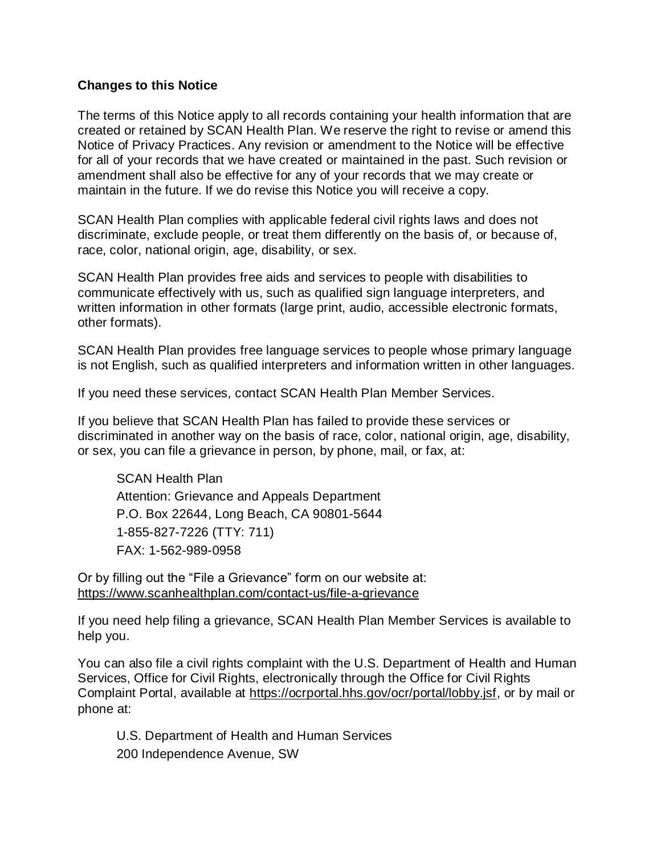#### **Changes to this Notice**

The terms of this Notice apply to all records containing your health information that are created or retained by SCAN Health Plan. We reserve the right to revise or amend this Notice of Privacy Practices. Any revision or amendment to the Notice will be effective for all of your records that we have created or maintained in the past. Such revision or amendment shall also be effective for any of your records that we may create or maintain in the future. If we do revise this Notice you will receive a copy.

SCAN Health Plan complies with applicable federal civil rights laws and does not discriminate, exclude people, or treat them differently on the basis of, or because of, race, color, national origin, age, disability, or sex.

SCAN Health Plan provides free aids and services to people with disabilities to communicate effectively with us, such as qualified sign language interpreters, and written information in other formats (large print, audio, accessible electronic formats, other formats).

SCAN Health Plan provides free language services to people whose primary language is not English, such as qualified interpreters and information written in other languages.

If you need these services, contact SCAN Health Plan Member Services.

If you believe that SCAN Health Plan has failed to provide these services or discriminated in another way on the basis of race, color, national origin, age, disability, or sex, you can file a grievance in person, by phone, mail, or fax, at:

SCAN Health Plan Attention: Grievance and Appeals Department P.O. Box 22644, Long Beach, CA 90801-5644 1-855-827-7226 (TTY: 711) FAX: 1-562-989-0958

Or by filling out the "File a Grievance" form on our website at: <https://www.scanhealthplan.com/contact-us/file-a-grievance>

If you need help filing a grievance, SCAN Health Plan Member Services is available to help you.

You can also file a civil rights complaint with the U.S. Department of Health and Human Services, Office for Civil Rights, electronically through the Office for Civil Rights Complaint Portal, available at [https://ocrportal.hhs.gov/ocr/portal/lobby.jsf,](https://ocrportal.hhs.gov/ocr/portal/lobby.jsf) or by mail or phone at:

U.S. Department of Health and Human Services 200 Independence Avenue, SW